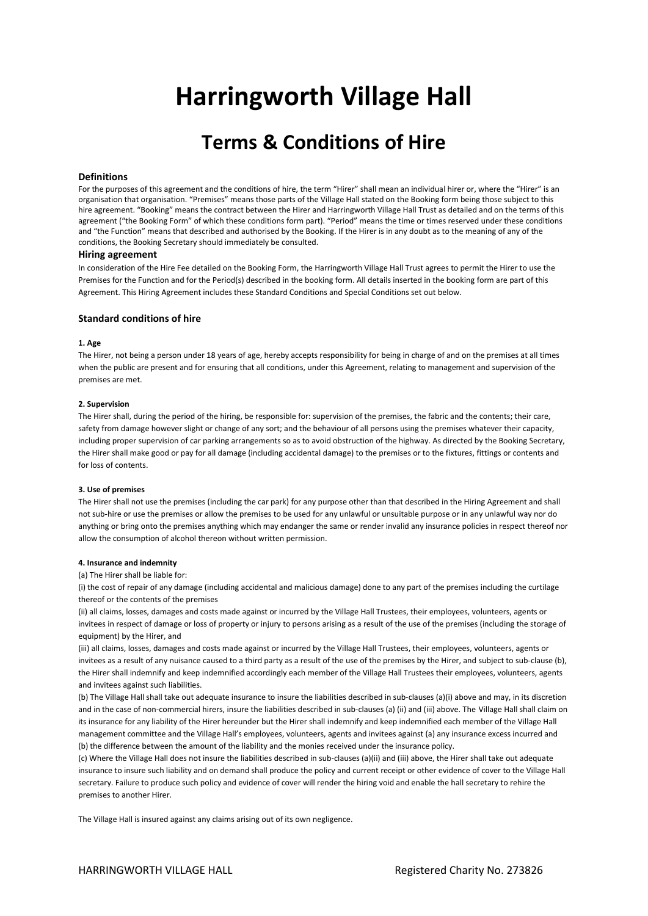# **Harringworth Village Hall**

# **Terms & Conditions of Hire**

# **Definitions**

For the purposes of this agreement and the conditions of hire, the term "Hirer" shall mean an individual hirer or, where the "Hirer" is an organisation that organisation. "Premises" means those parts of the Village Hall stated on the Booking form being those subject to this hire agreement. "Booking" means the contract between the Hirer and Harringworth Village Hall Trust as detailed and on the terms of this agreement ("the Booking Form" of which these conditions form part). "Period" means the time or times reserved under these conditions and "the Function" means that described and authorised by the Booking. If the Hirer is in any doubt as to the meaning of any of the conditions, the Booking Secretary should immediately be consulted.

# **Hiring agreement**

In consideration of the Hire Fee detailed on the Booking Form, the Harringworth Village Hall Trust agrees to permit the Hirer to use the Premises for the Function and for the Period(s) described in the booking form. All details inserted in the booking form are part of this Agreement. This Hiring Agreement includes these Standard Conditions and Special Conditions set out below.

# **Standard conditions of hire**

#### **1. Age**

The Hirer, not being a person under 18 years of age, hereby accepts responsibility for being in charge of and on the premises at all times when the public are present and for ensuring that all conditions, under this Agreement, relating to management and supervision of the premises are met.

#### **2. Supervision**

The Hirer shall, during the period of the hiring, be responsible for: supervision of the premises, the fabric and the contents; their care, safety from damage however slight or change of any sort; and the behaviour of all persons using the premises whatever their capacity, including proper supervision of car parking arrangements so as to avoid obstruction of the highway. As directed by the Booking Secretary, the Hirer shall make good or pay for all damage (including accidental damage) to the premises or to the fixtures, fittings or contents and for loss of contents.

#### **3. Use of premises**

The Hirer shall not use the premises (including the car park) for any purpose other than that described in the Hiring Agreement and shall not sub-hire or use the premises or allow the premises to be used for any unlawful or unsuitable purpose or in any unlawful way nor do anything or bring onto the premises anything which may endanger the same or render invalid any insurance policies in respect thereof nor allow the consumption of alcohol thereon without written permission.

#### **4. Insurance and indemnity**

(a) The Hirer shall be liable for:

(i) the cost of repair of any damage (including accidental and malicious damage) done to any part of the premises including the curtilage thereof or the contents of the premises

(ii) all claims, losses, damages and costs made against or incurred by the Village Hall Trustees, their employees, volunteers, agents or invitees in respect of damage or loss of property or injury to persons arising as a result of the use of the premises (including the storage of equipment) by the Hirer, and

(iii) all claims, losses, damages and costs made against or incurred by the Village Hall Trustees, their employees, volunteers, agents or invitees as a result of any nuisance caused to a third party as a result of the use of the premises by the Hirer, and subject to sub-clause (b), the Hirer shall indemnify and keep indemnified accordingly each member of the Village Hall Trustees their employees, volunteers, agents and invitees against such liabilities.

(b) The Village Hall shall take out adequate insurance to insure the liabilities described in sub-clauses (a)(i) above and may, in its discretion and in the case of non-commercial hirers, insure the liabilities described in sub-clauses (a) (ii) and (iii) above. The Village Hall shall claim on its insurance for any liability of the Hirer hereunder but the Hirer shall indemnify and keep indemnified each member of the Village Hall management committee and the Village Hall's employees, volunteers, agents and invitees against (a) any insurance excess incurred and (b) the difference between the amount of the liability and the monies received under the insurance policy.

(c) Where the Village Hall does not insure the liabilities described in sub-clauses (a)(ii) and (iii) above, the Hirer shall take out adequate insurance to insure such liability and on demand shall produce the policy and current receipt or other evidence of cover to the Village Hall secretary. Failure to produce such policy and evidence of cover will render the hiring void and enable the hall secretary to rehire the premises to another Hirer.

The Village Hall is insured against any claims arising out of its own negligence.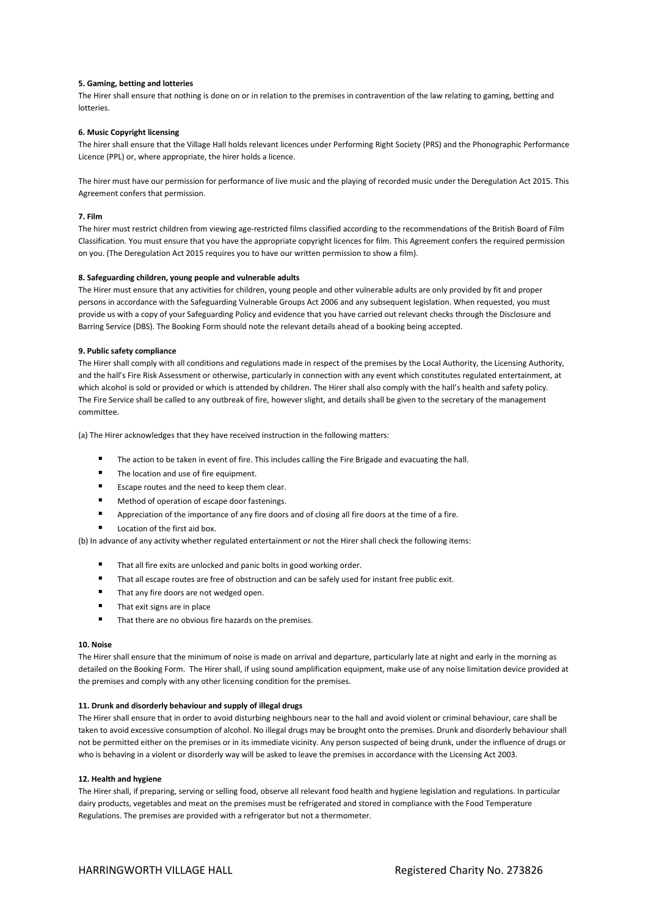# **5. Gaming, betting and lotteries**

The Hirer shall ensure that nothing is done on or in relation to the premises in contravention of the law relating to gaming, betting and lotteries.

#### **6. Music Copyright licensing**

The hirer shall ensure that the Village Hall holds relevant licences under Performing Right Society (PRS) and the Phonographic Performance Licence (PPL) or, where appropriate, the hirer holds a licence.

The hirer must have our permission for performance of live music and the playing of recorded music under the Deregulation Act 2015. This Agreement confers that permission.

#### **7. Film**

The hirer must restrict children from viewing age-restricted films classified according to the recommendations of the British Board of Film Classification. You must ensure that you have the appropriate copyright licences for film. This Agreement confers the required permission on you. (The Deregulation Act 2015 requires you to have our written permission to show a film).

#### **8. Safeguarding children, young people and vulnerable adults**

The Hirer must ensure that any activities for children, young people and other vulnerable adults are only provided by fit and proper persons in accordance with the Safeguarding Vulnerable Groups Act 2006 and any subsequent legislation. When requested, you must provide us with a copy of your Safeguarding Policy and evidence that you have carried out relevant checks through the Disclosure and Barring Service (DBS). The Booking Form should note the relevant details ahead of a booking being accepted.

# **9. Public safety compliance**

The Hirer shall comply with all conditions and regulations made in respect of the premises by the Local Authority, the Licensing Authority, and the hall's Fire Risk Assessment or otherwise, particularly in connection with any event which constitutes regulated entertainment, at which alcohol is sold or provided or which is attended by children. The Hirer shall also comply with the hall's health and safety policy. The Fire Service shall be called to any outbreak of fire, however slight, and details shall be given to the secretary of the management committee.

(a) The Hirer acknowledges that they have received instruction in the following matters:

- The action to be taken in event of fire. This includes calling the Fire Brigade and evacuating the hall.
- The location and use of fire equipment.
- **EXECUTE:** Escape routes and the need to keep them clear.
- Method of operation of escape door fastenings.
- Appreciation of the importance of any fire doors and of closing all fire doors at the time of a fire.
- Location of the first aid box.

(b) In advance of any activity whether regulated entertainment or not the Hirer shall check the following items:

- That all fire exits are unlocked and panic bolts in good working order.
- That all escape routes are free of obstruction and can be safely used for instant free public exit.
- That any fire doors are not wedged open.
- That exit signs are in place
- That there are no obvious fire hazards on the premises.

#### **10. Noise**

The Hirer shall ensure that the minimum of noise is made on arrival and departure, particularly late at night and early in the morning as detailed on the Booking Form. The Hirer shall, if using sound amplification equipment, make use of any noise limitation device provided at the premises and comply with any other licensing condition for the premises.

# **11. Drunk and disorderly behaviour and supply of illegal drugs**

The Hirer shall ensure that in order to avoid disturbing neighbours near to the hall and avoid violent or criminal behaviour, care shall be taken to avoid excessive consumption of alcohol. No illegal drugs may be brought onto the premises. Drunk and disorderly behaviour shall not be permitted either on the premises or in its immediate vicinity. Any person suspected of being drunk, under the influence of drugs or who is behaving in a violent or disorderly way will be asked to leave the premises in accordance with the Licensing Act 2003.

#### **12. Health and hygiene**

The Hirer shall, if preparing, serving or selling food, observe all relevant food health and hygiene legislation and regulations. In particular dairy products, vegetables and meat on the premises must be refrigerated and stored in compliance with the Food Temperature Regulations. The premises are provided with a refrigerator but not a thermometer.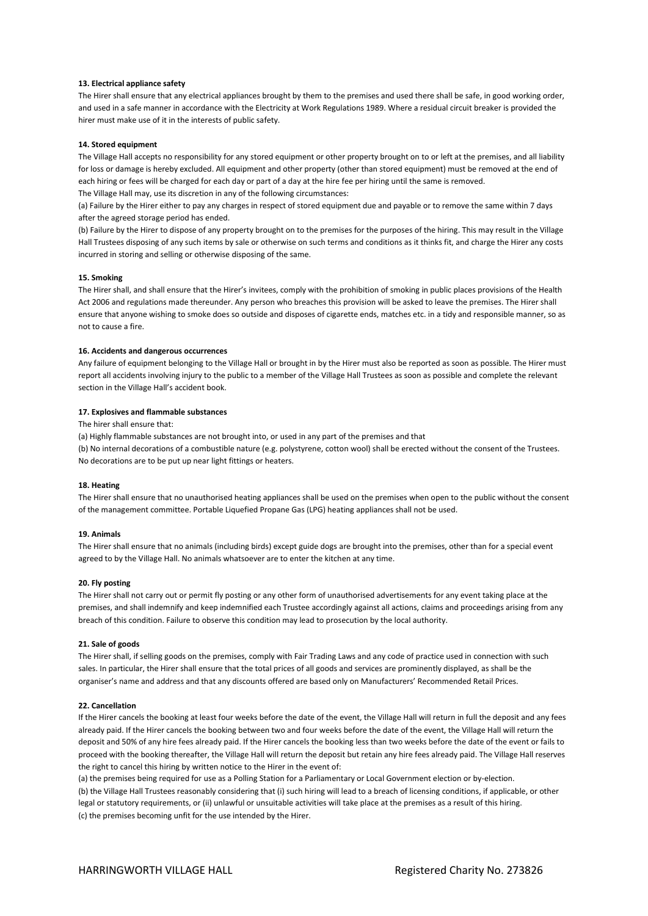# **13. Electrical appliance safety**

The Hirer shall ensure that any electrical appliances brought by them to the premises and used there shall be safe, in good working order, and used in a safe manner in accordance with the Electricity at Work Regulations 1989. Where a residual circuit breaker is provided the hirer must make use of it in the interests of public safety.

#### **14. Stored equipment**

The Village Hall accepts no responsibility for any stored equipment or other property brought on to or left at the premises, and all liability for loss or damage is hereby excluded. All equipment and other property (other than stored equipment) must be removed at the end of each hiring or fees will be charged for each day or part of a day at the hire fee per hiring until the same is removed. The Village Hall may, use its discretion in any of the following circumstances:

(a) Failure by the Hirer either to pay any charges in respect of stored equipment due and payable or to remove the same within 7 days after the agreed storage period has ended.

(b) Failure by the Hirer to dispose of any property brought on to the premises for the purposes of the hiring. This may result in the Village Hall Trustees disposing of any such items by sale or otherwise on such terms and conditions as it thinks fit, and charge the Hirer any costs incurred in storing and selling or otherwise disposing of the same.

#### **15. Smoking**

The Hirer shall, and shall ensure that the Hirer's invitees, comply with the prohibition of smoking in public places provisions of the Health Act 2006 and regulations made thereunder. Any person who breaches this provision will be asked to leave the premises. The Hirer shall ensure that anyone wishing to smoke does so outside and disposes of cigarette ends, matches etc. in a tidy and responsible manner, so as not to cause a fire.

# **16. Accidents and dangerous occurrences**

Any failure of equipment belonging to the Village Hall or brought in by the Hirer must also be reported as soon as possible. The Hirer must report all accidents involving injury to the public to a member of the Village Hall Trustees as soon as possible and complete the relevant section in the Village Hall's accident book.

### **17. Explosives and flammable substances**

The hirer shall ensure that:

(a) Highly flammable substances are not brought into, or used in any part of the premises and that (b) No internal decorations of a combustible nature (e.g. polystyrene, cotton wool) shall be erected without the consent of the Trustees. No decorations are to be put up near light fittings or heaters.

# **18. Heating**

The Hirer shall ensure that no unauthorised heating appliances shall be used on the premises when open to the public without the consent of the management committee. Portable Liquefied Propane Gas (LPG) heating appliances shall not be used.

# **19. Animals**

The Hirer shall ensure that no animals (including birds) except guide dogs are brought into the premises, other than for a special event agreed to by the Village Hall. No animals whatsoever are to enter the kitchen at any time.

#### **20. Fly posting**

The Hirer shall not carry out or permit fly posting or any other form of unauthorised advertisements for any event taking place at the premises, and shall indemnify and keep indemnified each Trustee accordingly against all actions, claims and proceedings arising from any breach of this condition. Failure to observe this condition may lead to prosecution by the local authority.

#### **21. Sale of goods**

The Hirer shall, if selling goods on the premises, comply with Fair Trading Laws and any code of practice used in connection with such sales. In particular, the Hirer shall ensure that the total prices of all goods and services are prominently displayed, as shall be the organiser's name and address and that any discounts offered are based only on Manufacturers' Recommended Retail Prices.

#### **22. Cancellation**

If the Hirer cancels the booking at least four weeks before the date of the event, the Village Hall will return in full the deposit and any fees already paid. If the Hirer cancels the booking between two and four weeks before the date of the event, the Village Hall will return the deposit and 50% of any hire fees already paid. If the Hirer cancels the booking less than two weeks before the date of the event or fails to proceed with the booking thereafter, the Village Hall will return the deposit but retain any hire fees already paid. The Village Hall reserves the right to cancel this hiring by written notice to the Hirer in the event of:

(a) the premises being required for use as a Polling Station for a Parliamentary or Local Government election or by-election. (b) the Village Hall Trustees reasonably considering that (i) such hiring will lead to a breach of licensing conditions, if applicable, or other legal or statutory requirements, or (ii) unlawful or unsuitable activities will take place at the premises as a result of this hiring. (c) the premises becoming unfit for the use intended by the Hirer.